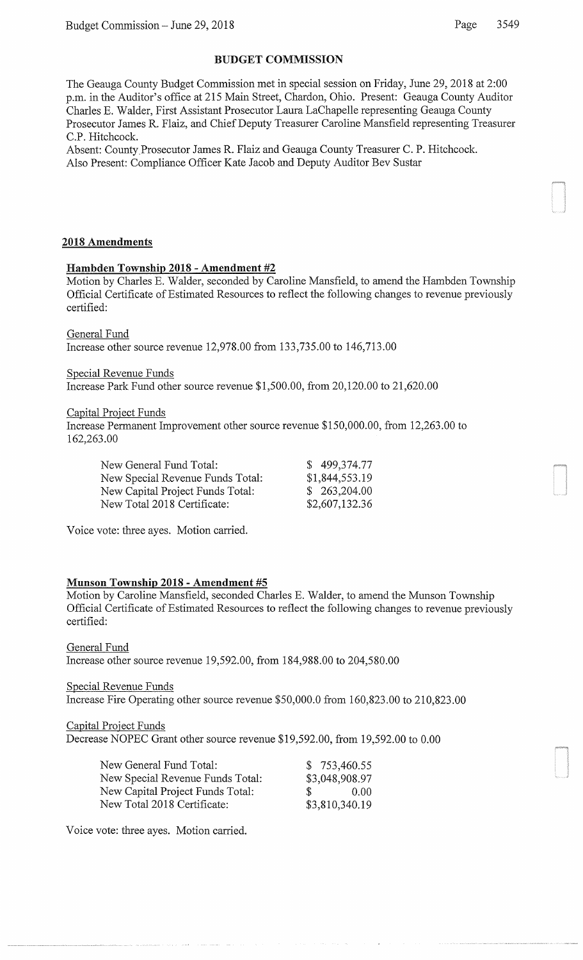# BUDGET COMMISSION

The Geauga County Budget Commission met in special session on Friday, June 29, 2018 at 2:00 p.m. in the Auditor's office at 215 Main Street, Chardon, Ohio. Present: Geauga County Auditor Charles E. Walder, First Assistant Prosecutor Laura LaChapelle representing Geauga County Prosecutor James R. Flaiz, and Chief Deputy Treasurer Caroline Mansfield representing Treasurer C.P. Hitchcock.

Absent: County.Prosecutor James R. Flaiz and Geauga County Treasurer C. P. Hitchcock. Also Present: Compliance Officer Kate Jacob and Deputy Auditor Bev Sustar

## 2018 Amendments

## Hambden Township 2018 - Amendment #2

Motion by Charles E. Walder, seconded by Caroline Mansfield, to amend the Hambden Township Official Certificate of Estimated Resources to reflect the following changes to revenue previously certified:

General Fund

Increase other source revenue 12,978.00 from 133,735.00 to 146,713.00

Special Revenue Funds

Increase Park Fund other source revenue \$1,500.00, from 20,120.00 to 21,620.00

Capital Project Funds

Increase Permanent Improvement other source revenue \$150,000.00, from 12,263.00 to 162,263.00

| New General Fund Total:          | \$499,374.77   |
|----------------------------------|----------------|
| New Special Revenue Funds Total: | \$1,844,553.19 |
| New Capital Project Funds Total: | \$263,204.00   |
| New Total 2018 Certificate:      | \$2,607,132.36 |

Voice vote: three ayes. Motion carried.

# Munson Township 2018 - Amendment #5

Motion by Caroline Mansfield, seconded Charles E. Walder, to amend the Munson Township Official Certificate of Estimated Resources to reflect the following changes to revenue previously certified:

General Fund Increase other source revenue 19,592.00, from 184,988.00 to 204,580.00

Special Revenue Funds

Increase Fire Operating other source revenue \$50,000.0 from 160,823.00 to 210,823.00

## Capital Project Funds

Decrease NOPEC Grant other source revenue \$19,592.00, from 19,592.00 to 0.00

| New General Fund Total:          |    | \$753,460.55   |
|----------------------------------|----|----------------|
| New Special Revenue Funds Total: |    | \$3,048,908.97 |
| New Capital Project Funds Total: | S. | 0.00           |
| New Total 2018 Certificate:      |    | \$3,810,340.19 |

Voice vote: three ayes. Motion carried.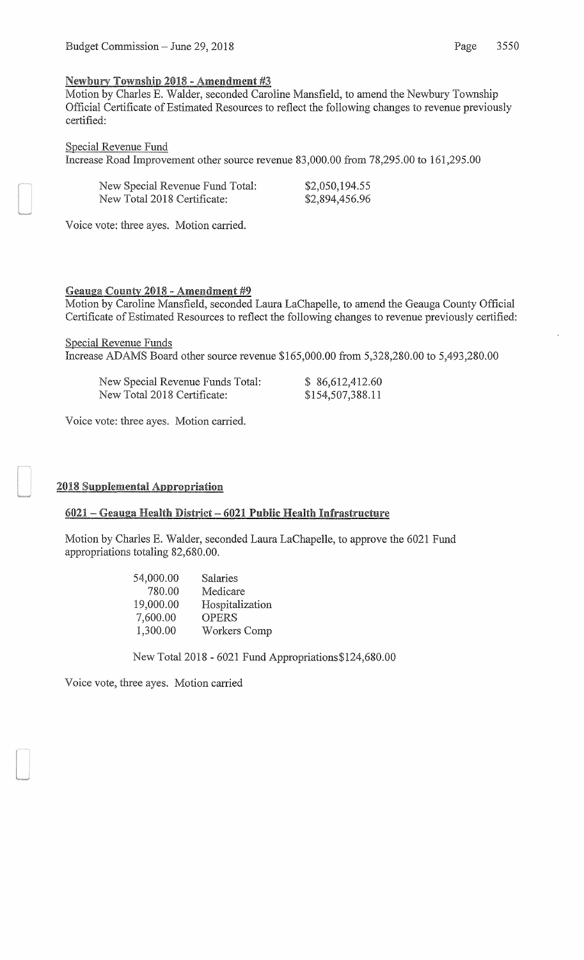### Newbury Township 2018 - Amendment #3

Motion by Charles E. Walder, seconded Caroline Mansfield, to amend the Newbury Township Official Certificate of Estimated Resources to reflect the following changes to revenue previously certified:

#### Special Revenue Fund

Increase Road Improvement other source revenue 83,000.00 from 78,295.00 to 161,295.00

| New Special Revenue Fund Total: | \$2,050,194.55 |
|---------------------------------|----------------|
| New Total 2018 Certificate:     | \$2,894,456.96 |

Voice vote: three ayes. Motion carried.

#### Geauga County 2018 - Amendment #9

Motion by Caroline Mansfield, seconded Laura LaChapelle, to amend the Geauga County Official Certificate of Estimated Resources to reflect the following changes to revenue previously certified:

Special Revenue Funds Increase ADAMS Board other source revenue \$165,000.00 from 5,328,280.00 to 5,493,280.00

| New Special Revenue Funds Total: | \$86,612,412.60  |
|----------------------------------|------------------|
| New Total 2018 Certificate:      | \$154,507,388.11 |

Voice vote: three ayes. Motion carried.

#### 2018 Supplemental Appropriation

### 6021 - Geauga Health District - 6021 Public Health Infrastructure

Motion by Charles E. Walder, seconded Laura LaChapelle, to approve the 6021 Fund appropriations totaling 82,680.00.

| 54,000.00 | Salaries        |
|-----------|-----------------|
| 780.00    | Medicare        |
| 19,000.00 | Hospitalization |
| 7,600.00  | <b>OPERS</b>    |
| 1,300.00  | Workers Comp    |

New Total2018- 6021 Fund Appropriations\$124,680.00

Voice vote, three ayes. Motion carried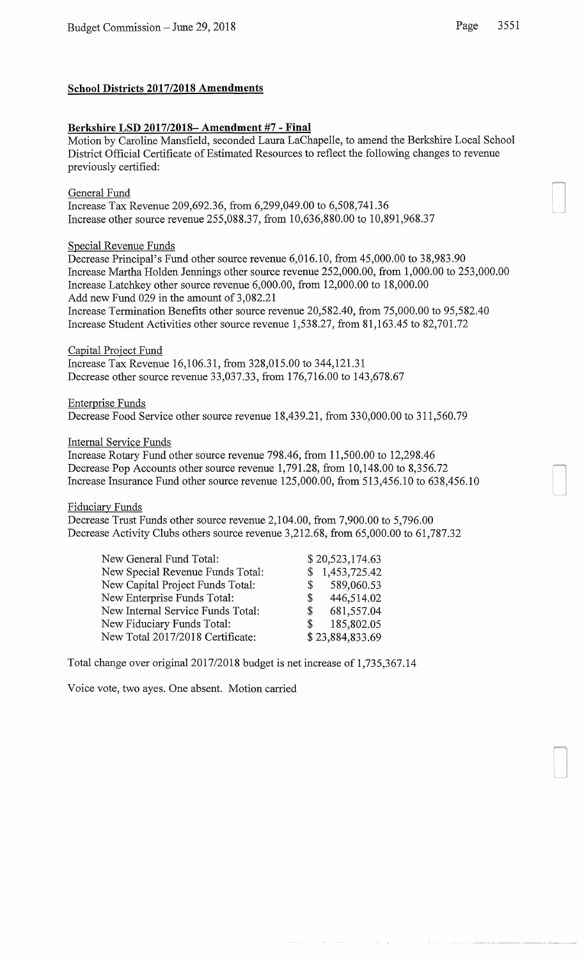## **School Districts 2017/2018 Amendments**

# **Berkshire** LSD **2017/2018- Amendment #7 - Final**

Motion by Caroline Mansfield, seconded Laura LaChapelle, to amend the Berkshire Local School District Official Certificate of Estimated Resources to reflect the following changes to revenue previously certified:

General Fund Increase Tax Revenue 209,692.36, from 6,299,049.00 to 6,508,741.36 Increase other source revenue 255,088.37, from 10,636,880.00 to 10,891,968.37

# Special Revenue Funds

Decrease Principal's Fund other source revenue 6,016.10, from 45,000.00 to 38,983.90 Increase Martha Holden Jennings other source revenue 252,000.00, from 1,000.00 to 253,000.00 Increase Latchkey other source revenue 6,000.00, from 12,000.00 to 18,000.00 Add new Fund 029 in the amount of 3,082.21

Increase Termination Benefits other source revenue 20,582.40, from 75,000.00 to 95,582.40 Increase Student Activities other source revenue 1,538.27, from 81,163.45 to 82,701.72

Capital Project Fund Increase Tax Revenue 16,106.31, from 328,015.00 to 344,121.31 Decrease other source revenue 33,037.33, from 176,716.00 to 143,678.67

Enterprise Funds Decrease Food Service other source revenue 18,439.21, from 330,000.00 to 311,560.79

# Internal Service Funds

Increase Rotary Fund other source revenue 798.46, from 11,500.00 to 12,298.46 Decrease Pop Accounts other source revenue 1,791.28, from 10,148.00 to 8,356.72 Increase Insurance Fund other source revenue 125,000.00, from 513,456.10 to 638,456.10

Fiduciary Funds

Decrease Trust Funds other source revenue 2,104.00, from 7,900.00 to 5,796.00 Decrease Activity Clubs others source revenue 3,212.68, from 65,000.00 to 61,787.32

| \$20,523,174.63  |
|------------------|
| \$1,453,725.42   |
| \$589,060.53     |
| 446,514.02<br>S  |
| 681,557.04<br>S. |
| 185,802.05<br>S. |
| \$23,884,833.69  |
|                  |

Total change over original2017/2018 budget is net increase of 1,735,367.14

Voice vote, two ayes. One absent. Motion carried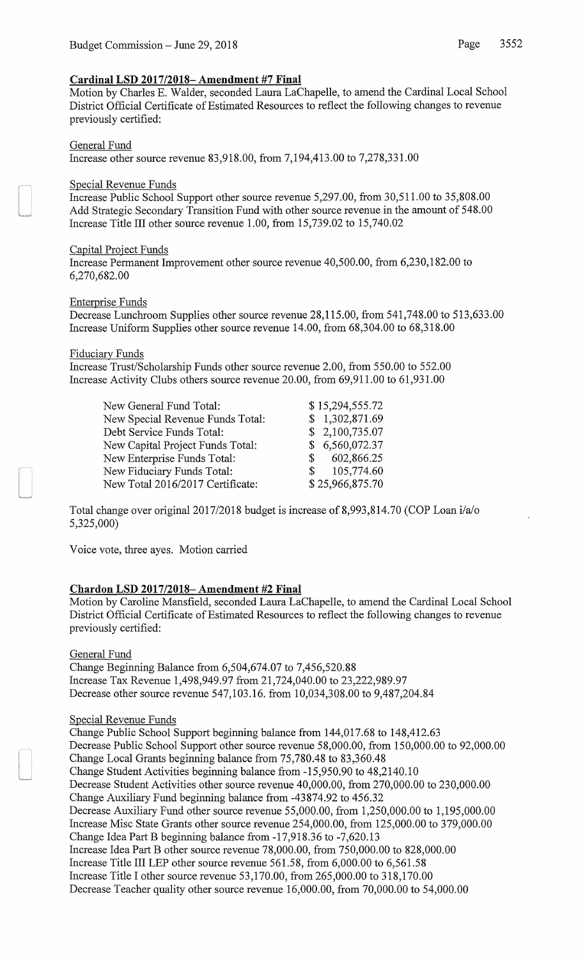## **Cardinal LSD 2017/2018- Amendment #7 Final**

Motion by Charles E. Walder, seconded Laura LaChapelle, to amend the Cardinal Local School District Official Certificate of Estimated Resources to reflect the following changes to revenue previously certified:

## General Fund

Increase other source revenue 83,918.00, from 7,194,413.00 to 7,278,331.00

## Special Revenue Funds

Increase Public School Support other source revenue 5,297.00, from 30,511.00 to 35,808.00 Add Strategic Secondary Transition Fund with other source revenue in the amount of 548.00 Increase Title III other source revenue 1.00, from 15,739.02 to 15,740.02

## Capital Project Funds

Increase Permanent Improvement other source revenue 40,500.00, from 6,230,182.00 to 6,270,682.00

### Enterprise Funds

Decrease Lunchroom Supplies other source revenue 28,115.00, from 541,748.00 to 513,633.00 Increase Uniform Supplies other source revenue 14.00, from 68,304.00 to 68,318.00

### Fiduciary Funds

Increase Trust/Scholarship Funds other source revenue 2.00, from 550.00 to 552.00 Increase Activity Clubs others source revenue 20.00, from 69,911.00 to 61,931.00

| New General Fund Total:          |               | \$15,294,555.72 |
|----------------------------------|---------------|-----------------|
| New Special Revenue Funds Total: |               | \$1,302,871.69  |
| Debt Service Funds Total:        |               | \$2,100,735.07  |
| New Capital Project Funds Total: |               | \$6,560,072.37  |
| New Enterprise Funds Total:      | S.            | 602,866.25      |
| New Fiduciary Funds Total:       | $\mathcal{S}$ | 105,774.60      |
| New Total 2016/2017 Certificate: |               | \$25,966,875.70 |

Total change over original 2017/2018 budget is increase of 8,993,814.70 (COP Loan i/a/o 5,325,000)

Voice vote, three ayes. Motion carried

## **Chardon** LSD **2017/2018- Amendment #2 Final**

Motion by Caroline Mansfield, seconded Laura LaChapelle, to amend the Cardinal Local School District Official Certificate of Estimated Resources to reflect the following changes to revenue previously certified:

General Fund

Change Beginning Balance from 6,504,674.07 to 7,456,520.88 Increase Tax Revenue 1,498,949.97 from 21,724,040.00 to 23,222,989.97 Decrease other source revenue 547,103.16. from 10,034,308.00 to 9,487,204.84

#### Special Revenue Funds

Change Public School Support beginning balance from 144,017.68 to 148,412.63 Decrease Public School Support other source revenue 58,000.00, from 150,000.00 to 92,000.00 Change Local Grants beginning balance from 75,780.48 to 83,360.48 Change Student Activities beginning balance from -15,950.90 to 48,2140.10 Decrease Student Activities other source revenue 40,000.00, from 270,000.00 to 230,000.00 Change Auxiliary Fund beginning balance from -43874.92 to 456.32 Decrease Auxiliary Fund other source revenue 55,000.00, from 1,250,000.00 to 1,195,000.00 Increase Mise State Grants other source revenue 254,000.00, from 125,000.00 to 379,000.00 Change Idea Part B beginning balance from -17,918.36 to -7,620.13 Increase Idea Part B other source revenue 78,000.00, from 750,000.00 to 828,000.00 Increase Title III LEP other source revenue 561.58, from 6,000.00 to 6,561.58 Increase Title I other source revenue 53,170.00, from 265,000.00 to 318,170.00 Decrease Teacher quality other source revenue 16,000.00, from 70,000.00 to 54,000.00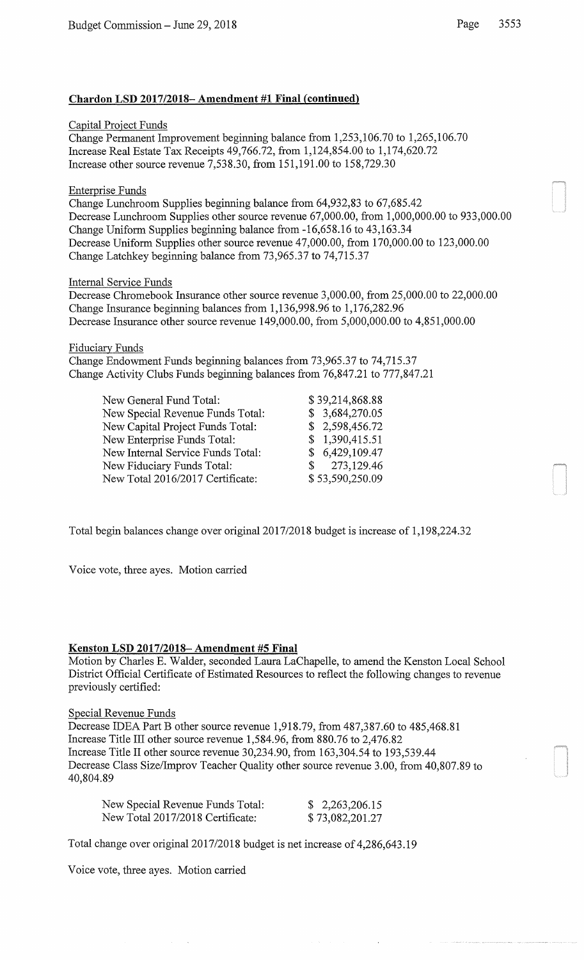### Capital Project Funds

Change Permanent Improvement beginning balance from 1,253,106.70 to 1,265,106.70 Increase Real Estate Tax Receipts 49,766.72, from 1,124,854.00 to 1,174,620.72 Increase other source revenue 7,538.30, from 151,191.00 to 158,729.30

### Enterprise Funds

Change Lunchroom Supplies beginning balance from 64,932,83 to 67,685.42 Decrease Lunchroom Supplies other source revenue 67,000.00, from 1,000,000.00 to 933,000.00 Change Uniform Supplies beginning balance from -16,658.16 to 43,163.34 Decrease Uniform Supplies other source revenue 47,000.00, from 170,000.00 to 123,000.00 Change Latchkey beginning balance from 73,965.37 to 74,715.37

### Internal Service Funds

Decrease Chromebook Insurance other source revenue 3,000.00, from 25,000.00 to 22,000.00 Change Insurance beginning balances from 1,136,998.96 to 1,176,282.96 Decrease Insurance other source revenue 149,000.00, from 5,000,000.00 to 4,851,000.00

### Fiduciary Funds

Change Endowment Funds beginning balances from 73,965.37 to 74,715.37 Change Activity Clubs Funds beginning balances from 76,847.21 to 777,847.21

| New General Fund Total:           | \$39,214,868.88 |
|-----------------------------------|-----------------|
| New Special Revenue Funds Total:  | \$3,684,270.05  |
| New Capital Project Funds Total:  | \$2,598,456.72  |
| New Enterprise Funds Total:       | \$1,390,415.51  |
| New Internal Service Funds Total: | \$6,429,109.47  |
| New Fiduciary Funds Total:        | \$273,129.46    |
| New Total 2016/2017 Certificate:  | \$53,590,250.09 |

Total begin balances change over original2017/2018 budget is increase of 1,198,224.32

Voice vote, three ayes. Motion carried

#### Kenston LSD 2017/2018- Amendment #5 Final

Motion by Charles E. Walder, seconded Laura LaChapelle, to amend the Kenston Local School District Official Certificate of Estimated Resources to reflect the following changes to revenue previously certified:

#### Special Revenue Funds

Decrease IDEA Part B other source revenue 1,918.79, from 487,387.60 to 485,468.81 Increase Title III other source revenue 1,584.96, from 880.76 to 2,476.82 Increase Title II other source revenue 30,234.90, from 163,304.54 to 193,539.44 Decrease Class Size/Improv Teacher Quality other source revenue 3.00, from 40,807.89 to 40,804.89

| New Special Revenue Funds Total: | \$2,263,206.15  |
|----------------------------------|-----------------|
| New Total 2017/2018 Certificate: | \$73,082,201.27 |

Total change over original2017/2018 budget is net increase of 4,286,643.19

Voice vote, three ayes. Motion carried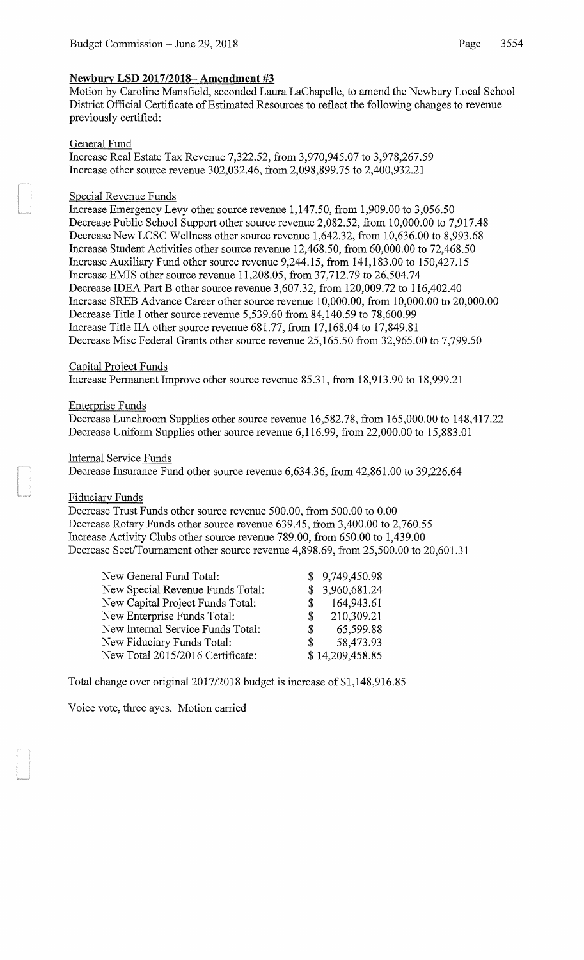# Newbury LSD 2017/2018- **Amendment #3**

Motion by Caroline Mansfield, seconded Laura LaChapelle, to amend the Newbury Local School District Official Certificate of Estimated Resources to reflect the following changes to revenue previously certified:

### General Fund

Increase Real Estate Tax Revenue 7,322.52, from 3,970,945.07 to 3,978,267.59 Increase other source revenue 302,032.46, from 2,098,899.75 to 2,400,932.21

### Special Revenue Funds

Increase Emergency Levy other source revenue 1,147.50, from 1,909.00 to 3,056.50 Decrease Public School Support other source revenue 2,082.52, from 10,000.00 to 7,917.48 Decrease New LCSC Wellness other source revenue 1,642.32, from 10,636.00 to 8,993.68 Increase Student Activities other source revenue 12,468.50, from 60,000.00 to 72,468.50 Increase Auxiliary Fund other source revenue 9,244.15, from 141,183.00 to 150,427.15 Increase EMIS other source revenue 11,208.05, from 37,712.79 to 26,504.74 Decrease IDEA Part B other source revenue 3,607.32, from 120,009.72 to 116,402.40 Increase SREB Advance Career other source revenue 10,000.00, from 10,000.00 to 20,000.00 Decrease Title I other source revenue 5,539.60 from 84,140.59 to 78,600.99 Increase Title IIA other source revenue 681.77, from 17,168.04 to 17,849.81 Decrease Mise Federal Grants other source revenue 25,165.50 from 32,965.00 to 7,799.50

## Capital Project Funds

Increase Permanent Improve other source revenue 85.31, from 18,913.90 to 18,999.21

### Enterprise Funds

Decrease Lunchroom Supplies other source revenue 16,582.78, from 165,000.00 to 148,417.22 Decrease Uniform Supplies other source revenue 6,116.99, from 22,000.00 to 15,883.01

### Internal Service Funds

Decrease Insurance Fund other source revenue 6,634.36, from 42,861.00 to 39,226.64

## Fiduciary Funds

Decrease Trust Funds other source revenue 500.00, from 500.00 to 0.00 Decrease Rotary Funds other source revenue 639.45, from 3,400.00 to 2,760.55 Increase Activity Clubs other source revenue 789.00, from 650.00 to 1,439.00 Decrease Sect/Tournament other source revenue 4,898.69, from 25,500.00 to 20,601.31

| New General Fund Total:           |    | \$9,749,450.98  |
|-----------------------------------|----|-----------------|
| New Special Revenue Funds Total:  |    | \$3,960,681.24  |
| New Capital Project Funds Total:  | S. | 164,943.61      |
| New Enterprise Funds Total:       | S. | 210,309.21      |
| New Internal Service Funds Total: | S. | 65,599.88       |
| New Fiduciary Funds Total:        | S. | 58,473.93       |
| New Total 2015/2016 Certificate:  |    | \$14,209,458.85 |

Total change over original2017/2018 budget is increase of \$1,148,916.85

Voice vote, three ayes. Motion carried